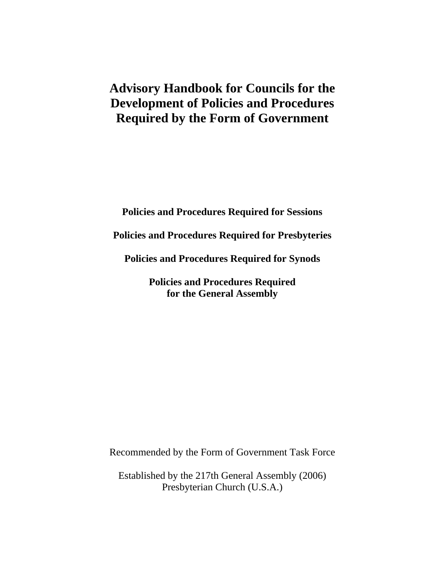# **Advisory Handbook for Councils for the Development of Policies and Procedures Required by the Form of Government**

**Policies and Procedures Required for Sessions** 

**Policies and Procedures Required for Presbyteries** 

**Policies and Procedures Required for Synods** 

**Policies and Procedures Required for the General Assembly**

Recommended by the Form of Government Task Force

Established by the 217th General Assembly (2006) Presbyterian Church (U.S.A.)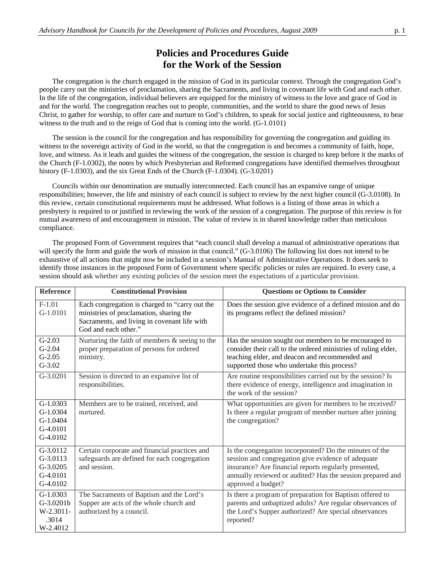#### **Policies and Procedures Guide for the Work of the Session**

The congregation is the church engaged in the mission of God in its particular context. Through the congregation God's people carry out the ministries of proclamation, sharing the Sacraments, and living in covenant life with God and each other. In the life of the congregation, individual believers are equipped for the ministry of witness to the love and grace of God in and for the world. The congregation reaches out to people, communities, and the world to share the good news of Jesus Christ, to gather for worship, to offer care and nurture to God's children, to speak for social justice and righteousness, to bear witness to the truth and to the reign of God that is coming into the world. (G-1.0101)

The session is the council for the congregation and has responsibility for governing the congregation and guiding its witness to the sovereign activity of God in the world, so that the congregation is and becomes a community of faith, hope, love, and witness. As it leads and guides the witness of the congregation, the session is charged to keep before it the marks of the Church (F-1.0302), the notes by which Presbyterian and Reformed congregations have identified themselves throughout history (F-1.0303), and the six Great Ends of the Church (F-1.0304). (G-3.0201)

Councils within our denomination are mutually interconnected. Each council has an expansive range of unique responsibilities; however, the life and ministry of each council is subject to review by the next higher council (G-3.0108). In this review, certain constitutional requirements must be addressed. What follows is a listing of those areas in which a presbytery is required to or justified in reviewing the work of the session of a congregation. The purpose of this review is for mutual awareness of and encouragement in mission. The value of review is in shared knowledge rather than meticulous compliance.

The proposed Form of Government requires that "each council shall develop a manual of administrative operations that will specify the form and guide the work of mission in that council." (G-3.0106) The following list does not intend to be exhaustive of all actions that might now be included in a session's Manual of Administrative Operations. It does seek to identify those instances in the proposed Form of Government where specific policies or rules are required. In every case, a session should ask whether any existing policies of the session meet the expectations of a particular provision.

| <b>Reference</b>                                                 | <b>Constitutional Provision</b>                                                                                                                                   | <b>Questions or Options to Consider</b>                                                                                                                                                                                                                    |
|------------------------------------------------------------------|-------------------------------------------------------------------------------------------------------------------------------------------------------------------|------------------------------------------------------------------------------------------------------------------------------------------------------------------------------------------------------------------------------------------------------------|
| $F-1.01$<br>$G-1.0101$                                           | Each congregation is charged to "carry out the<br>ministries of proclamation, sharing the<br>Sacraments, and living in covenant life with<br>God and each other." | Does the session give evidence of a defined mission and do<br>its programs reflect the defined mission?                                                                                                                                                    |
| $G-2.03$<br>$G-2.04$<br>$G-2.05$<br>$G-3.02$                     | Nurturing the faith of members $\&$ seeing to the<br>proper preparation of persons for ordered<br>ministry.                                                       | Has the session sought out members to be encouraged to<br>consider their call to the ordered ministries of ruling elder,<br>teaching elder, and deacon and recommended and<br>supported those who undertake this process?                                  |
| G-3.0201                                                         | Session is directed to an expansive list of<br>responsibilities.                                                                                                  | Are routine responsibilities carried out by the session? Is<br>there evidence of energy, intelligence and imagination in<br>the work of the session?                                                                                                       |
| $G-1.0303$<br>$G-1.0304$<br>$G-1.0404$<br>$G-4.0101$<br>G-4.0102 | Members are to be trained, received, and<br>nurtured.                                                                                                             | What opportunities are given for members to be received?<br>Is there a regular program of member nurture after joining<br>the congregation?                                                                                                                |
| G-3.0112<br>$G-3.0113$<br>$G-3.0205$<br>$G-4.0101$<br>G-4.0102   | Certain corporate and financial practices and<br>safeguards are defined for each congregation<br>and session.                                                     | Is the congregation incorporated? Do the minutes of the<br>session and congregation give evidence of adequate<br>insurance? Are financial reports regularly presented,<br>annually reviewed or audited? Has the session prepared and<br>approved a budget? |
| $G-1.0303$<br>G-3.0201b<br>W-2.3011-<br>.3014<br>W-2.4012        | The Sacraments of Baptism and the Lord's<br>Supper are acts of the whole church and<br>authorized by a council.                                                   | Is there a program of preparation for Baptism offered to<br>parents and unbaptized adults? Are regular observances of<br>the Lord's Supper authorized? Are special observances<br>reported?                                                                |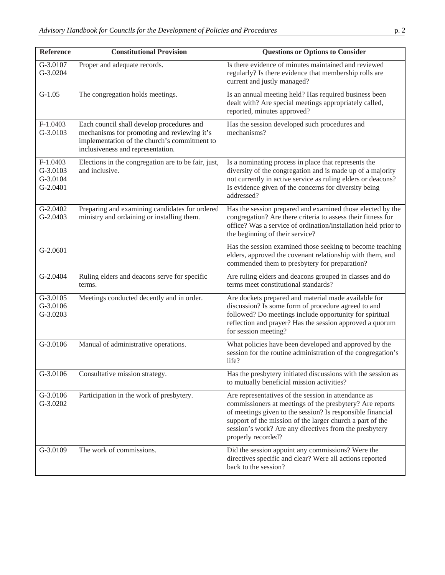| Reference                                      | <b>Constitutional Provision</b>                                                                                                                                               | <b>Questions or Options to Consider</b>                                                                                                                                                                                                                                                                                    |
|------------------------------------------------|-------------------------------------------------------------------------------------------------------------------------------------------------------------------------------|----------------------------------------------------------------------------------------------------------------------------------------------------------------------------------------------------------------------------------------------------------------------------------------------------------------------------|
| G-3.0107<br>G-3.0204                           | Proper and adequate records.                                                                                                                                                  | Is there evidence of minutes maintained and reviewed<br>regularly? Is there evidence that membership rolls are<br>current and justly managed?                                                                                                                                                                              |
| $G-1.05$                                       | The congregation holds meetings.                                                                                                                                              | Is an annual meeting held? Has required business been<br>dealt with? Are special meetings appropriately called,<br>reported, minutes approved?                                                                                                                                                                             |
| $F-1.0403$<br>G-3.0103                         | Each council shall develop procedures and<br>mechanisms for promoting and reviewing it's<br>implementation of the church's commitment to<br>inclusiveness and representation. | Has the session developed such procedures and<br>mechanisms?                                                                                                                                                                                                                                                               |
| $F-1.0403$<br>G-3.0103<br>G-3.0104<br>G-2.0401 | Elections in the congregation are to be fair, just,<br>and inclusive.                                                                                                         | Is a nominating process in place that represents the<br>diversity of the congregation and is made up of a majority<br>not currently in active service as ruling elders or deacons?<br>Is evidence given of the concerns for diversity being<br>addressed?                                                                  |
| G-2.0402<br>G-2.0403                           | Preparing and examining candidates for ordered<br>ministry and ordaining or installing them.                                                                                  | Has the session prepared and examined those elected by the<br>congregation? Are there criteria to assess their fitness for<br>office? Was a service of ordination/installation held prior to<br>the beginning of their service?                                                                                            |
| $G-2.0601$                                     |                                                                                                                                                                               | Has the session examined those seeking to become teaching<br>elders, approved the covenant relationship with them, and<br>commended them to presbytery for preparation?                                                                                                                                                    |
| G-2.0404                                       | Ruling elders and deacons serve for specific<br>terms.                                                                                                                        | Are ruling elders and deacons grouped in classes and do<br>terms meet constitutional standards?                                                                                                                                                                                                                            |
| G-3.0105<br>G-3.0106<br>G-3.0203               | Meetings conducted decently and in order.                                                                                                                                     | Are dockets prepared and material made available for<br>discussion? Is some form of procedure agreed to and<br>followed? Do meetings include opportunity for spiritual<br>reflection and prayer? Has the session approved a quorum<br>for session meeting?                                                                 |
| G-3.0106                                       | Manual of administrative operations.                                                                                                                                          | What policies have been developed and approved by the<br>session for the routine administration of the congregation's<br>life?                                                                                                                                                                                             |
| G-3.0106                                       | Consultative mission strategy.                                                                                                                                                | Has the presbytery initiated discussions with the session as<br>to mutually beneficial mission activities?                                                                                                                                                                                                                 |
| G-3.0106<br>G-3.0202                           | Participation in the work of presbytery.                                                                                                                                      | Are representatives of the session in attendance as<br>commissioners at meetings of the presbytery? Are reports<br>of meetings given to the session? Is responsible financial<br>support of the mission of the larger church a part of the<br>session's work? Are any directives from the presbytery<br>properly recorded? |
| G-3.0109                                       | The work of commissions.                                                                                                                                                      | Did the session appoint any commissions? Were the<br>directives specific and clear? Were all actions reported<br>back to the session?                                                                                                                                                                                      |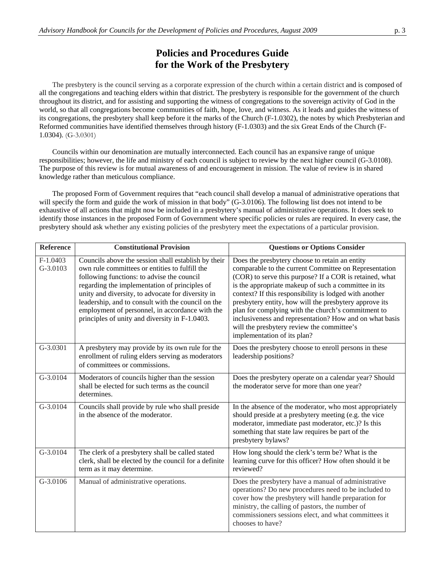#### **Policies and Procedures Guide for the Work of the Presbytery**

 The presbytery is the council serving as a corporate expression of the church within a certain district and is composed of all the congregations and teaching elders within that district. The presbytery is responsible for the government of the church throughout its district, and for assisting and supporting the witness of congregations to the sovereign activity of God in the world, so that all congregations become communities of faith, hope, love, and witness. As it leads and guides the witness of its congregations, the presbytery shall keep before it the marks of the Church (F-1.0302), the notes by which Presbyterian and Reformed communities have identified themselves through history (F-1.0303) and the six Great Ends of the Church (F-1.0304). (G-3.0301)

 Councils within our denomination are mutually interconnected. Each council has an expansive range of unique responsibilities; however, the life and ministry of each council is subject to review by the next higher council (G-3.0108). The purpose of this review is for mutual awareness of and encouragement in mission. The value of review is in shared knowledge rather than meticulous compliance.

 The proposed Form of Government requires that "each council shall develop a manual of administrative operations that will specify the form and guide the work of mission in that body" (G-3.0106). The following list does not intend to be exhaustive of all actions that might now be included in a presbytery's manual of administrative operations. It does seek to identify those instances in the proposed Form of Government where specific policies or rules are required. In every case, the presbytery should ask whether any existing policies of the presbytery meet the expectations of a particular provision.

| <b>Reference</b>       | <b>Constitutional Provision</b>                                                                                                                                                                                                                                                                                                                                                                                      | <b>Questions or Options Consider</b>                                                                                                                                                                                                                                                                                                                                                                                                                                                                                                         |
|------------------------|----------------------------------------------------------------------------------------------------------------------------------------------------------------------------------------------------------------------------------------------------------------------------------------------------------------------------------------------------------------------------------------------------------------------|----------------------------------------------------------------------------------------------------------------------------------------------------------------------------------------------------------------------------------------------------------------------------------------------------------------------------------------------------------------------------------------------------------------------------------------------------------------------------------------------------------------------------------------------|
| $F-1.0403$<br>G-3.0103 | Councils above the session shall establish by their<br>own rule committees or entities to fulfill the<br>following functions: to advise the council<br>regarding the implementation of principles of<br>unity and diversity, to advocate for diversity in<br>leadership, and to consult with the council on the<br>employment of personnel, in accordance with the<br>principles of unity and diversity in F-1.0403. | Does the presbytery choose to retain an entity<br>comparable to the current Committee on Representation<br>(COR) to serve this purpose? If a COR is retained, what<br>is the appropriate makeup of such a committee in its<br>context? If this responsibility is lodged with another<br>presbytery entity, how will the presbytery approve its<br>plan for complying with the church's commitment to<br>inclusiveness and representation? How and on what basis<br>will the presbytery review the committee's<br>implementation of its plan? |
| G-3.0301               | A presbytery may provide by its own rule for the<br>enrollment of ruling elders serving as moderators<br>of committees or commissions.                                                                                                                                                                                                                                                                               | Does the presbytery choose to enroll persons in these<br>leadership positions?                                                                                                                                                                                                                                                                                                                                                                                                                                                               |
| G-3.0104               | Moderators of councils higher than the session<br>shall be elected for such terms as the council<br>determines.                                                                                                                                                                                                                                                                                                      | Does the presbytery operate on a calendar year? Should<br>the moderator serve for more than one year?                                                                                                                                                                                                                                                                                                                                                                                                                                        |
| G-3.0104               | Councils shall provide by rule who shall preside<br>in the absence of the moderator.                                                                                                                                                                                                                                                                                                                                 | In the absence of the moderator, who most appropriately<br>should preside at a presbytery meeting (e.g. the vice<br>moderator, immediate past moderator, etc.)? Is this<br>something that state law requires be part of the<br>presbytery bylaws?                                                                                                                                                                                                                                                                                            |
| G-3.0104               | The clerk of a presbytery shall be called stated<br>clerk, shall be elected by the council for a definite<br>term as it may determine.                                                                                                                                                                                                                                                                               | How long should the clerk's term be? What is the<br>learning curve for this officer? How often should it be<br>reviewed?                                                                                                                                                                                                                                                                                                                                                                                                                     |
| G-3.0106               | Manual of administrative operations.                                                                                                                                                                                                                                                                                                                                                                                 | Does the presbytery have a manual of administrative<br>operations? Do new procedures need to be included to<br>cover how the presbytery will handle preparation for<br>ministry, the calling of pastors, the number of<br>commissioners sessions elect, and what committees it<br>chooses to have?                                                                                                                                                                                                                                           |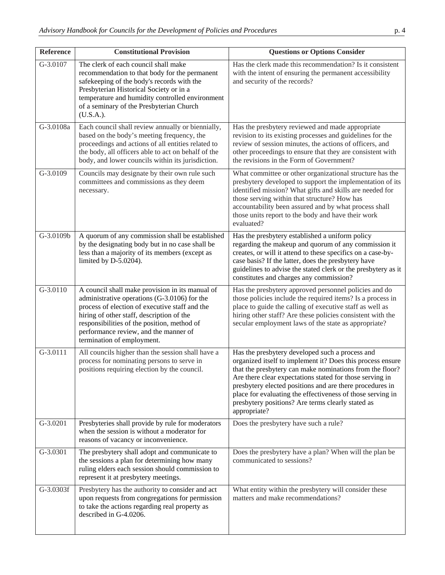| Reference | <b>Constitutional Provision</b>                                                                                                                                                                                                                                                                                      | <b>Questions or Options Consider</b>                                                                                                                                                                                                                                                                                                                                                                                                 |
|-----------|----------------------------------------------------------------------------------------------------------------------------------------------------------------------------------------------------------------------------------------------------------------------------------------------------------------------|--------------------------------------------------------------------------------------------------------------------------------------------------------------------------------------------------------------------------------------------------------------------------------------------------------------------------------------------------------------------------------------------------------------------------------------|
| G-3.0107  | The clerk of each council shall make<br>recommendation to that body for the permanent<br>safekeeping of the body's records with the<br>Presbyterian Historical Society or in a<br>temperature and humidity controlled environment<br>of a seminary of the Presbyterian Church<br>$(U.S.A.)$ .                        | Has the clerk made this recommendation? Is it consistent<br>with the intent of ensuring the permanent accessibility<br>and security of the records?                                                                                                                                                                                                                                                                                  |
| G-3.0108a | Each council shall review annually or biennially,<br>based on the body's meeting frequency, the<br>proceedings and actions of all entities related to<br>the body, all officers able to act on behalf of the<br>body, and lower councils within its jurisdiction.                                                    | Has the presbytery reviewed and made appropriate<br>revision to its existing processes and guidelines for the<br>review of session minutes, the actions of officers, and<br>other proceedings to ensure that they are consistent with<br>the revisions in the Form of Government?                                                                                                                                                    |
| G-3.0109  | Councils may designate by their own rule such<br>committees and commissions as they deem<br>necessary.                                                                                                                                                                                                               | What committee or other organizational structure has the<br>presbytery developed to support the implementation of its<br>identified mission? What gifts and skills are needed for<br>those serving within that structure? How has<br>accountability been assured and by what process shall<br>those units report to the body and have their work<br>evaluated?                                                                       |
| G-3.0109b | A quorum of any commission shall be established<br>by the designating body but in no case shall be<br>less than a majority of its members (except as<br>limited by D-5.0204).                                                                                                                                        | Has the presbytery established a uniform policy<br>regarding the makeup and quorum of any commission it<br>creates, or will it attend to these specifics on a case-by-<br>case basis? If the latter, does the presbytery have<br>guidelines to advise the stated clerk or the presbytery as it<br>constitutes and charges any commission?                                                                                            |
| G-3.0110  | A council shall make provision in its manual of<br>administrative operations (G-3.0106) for the<br>process of election of executive staff and the<br>hiring of other staff, description of the<br>responsibilities of the position, method of<br>performance review, and the manner of<br>termination of employment. | Has the presbytery approved personnel policies and do<br>those policies include the required items? Is a process in<br>place to guide the calling of executive staff as well as<br>hiring other staff? Are these policies consistent with the<br>secular employment laws of the state as appropriate?                                                                                                                                |
| G-3.0111  | All councils higher than the session shall have a<br>process for nominating persons to serve in<br>positions requiring election by the council.                                                                                                                                                                      | Has the presbytery developed such a process and<br>organized itself to implement it? Does this process ensure<br>that the presbytery can make nominations from the floor?<br>Are there clear expectations stated for those serving in<br>presbytery elected positions and are there procedures in<br>place for evaluating the effectiveness of those serving in<br>presbytery positions? Are terms clearly stated as<br>appropriate? |
| G-3.0201  | Presbyteries shall provide by rule for moderators<br>when the session is without a moderator for<br>reasons of vacancy or inconvenience.                                                                                                                                                                             | Does the presbytery have such a rule?                                                                                                                                                                                                                                                                                                                                                                                                |
| G-3.0301  | The presbytery shall adopt and communicate to<br>the sessions a plan for determining how many<br>ruling elders each session should commission to<br>represent it at presbytery meetings.                                                                                                                             | Does the presbytery have a plan? When will the plan be<br>communicated to sessions?                                                                                                                                                                                                                                                                                                                                                  |
| G-3.0303f | Presbytery has the authority to consider and act<br>upon requests from congregations for permission<br>to take the actions regarding real property as<br>described in G-4.0206.                                                                                                                                      | What entity within the presbytery will consider these<br>matters and make recommendations?                                                                                                                                                                                                                                                                                                                                           |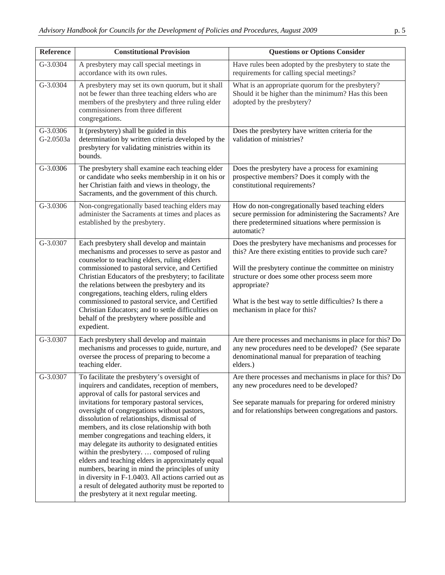| <b>Reference</b>        | <b>Constitutional Provision</b>                                                                                                                                                                                                                                                                                                                                                                                                                                                                                                                                                                                                                                                                                                                                      | <b>Questions or Options Consider</b>                                                                                                                                                                                                                                                                                                    |
|-------------------------|----------------------------------------------------------------------------------------------------------------------------------------------------------------------------------------------------------------------------------------------------------------------------------------------------------------------------------------------------------------------------------------------------------------------------------------------------------------------------------------------------------------------------------------------------------------------------------------------------------------------------------------------------------------------------------------------------------------------------------------------------------------------|-----------------------------------------------------------------------------------------------------------------------------------------------------------------------------------------------------------------------------------------------------------------------------------------------------------------------------------------|
| G-3.0304                | A presbytery may call special meetings in<br>accordance with its own rules.                                                                                                                                                                                                                                                                                                                                                                                                                                                                                                                                                                                                                                                                                          | Have rules been adopted by the presbytery to state the<br>requirements for calling special meetings?                                                                                                                                                                                                                                    |
| G-3.0304                | A presbytery may set its own quorum, but it shall<br>not be fewer than three teaching elders who are<br>members of the presbytery and three ruling elder<br>commissioners from three different<br>congregations.                                                                                                                                                                                                                                                                                                                                                                                                                                                                                                                                                     | What is an appropriate quorum for the presbytery?<br>Should it be higher than the minimum? Has this been<br>adopted by the presbytery?                                                                                                                                                                                                  |
| $G-3.0306$<br>G-2.0503a | It (presbytery) shall be guided in this<br>determination by written criteria developed by the<br>presbytery for validating ministries within its<br>bounds.                                                                                                                                                                                                                                                                                                                                                                                                                                                                                                                                                                                                          | Does the presbytery have written criteria for the<br>validation of ministries?                                                                                                                                                                                                                                                          |
| G-3.0306                | The presbytery shall examine each teaching elder<br>or candidate who seeks membership in it on his or<br>her Christian faith and views in theology, the<br>Sacraments, and the government of this church.                                                                                                                                                                                                                                                                                                                                                                                                                                                                                                                                                            | Does the presbytery have a process for examining<br>prospective members? Does it comply with the<br>constitutional requirements?                                                                                                                                                                                                        |
| G-3.0306                | Non-congregationally based teaching elders may<br>administer the Sacraments at times and places as<br>established by the presbytery.                                                                                                                                                                                                                                                                                                                                                                                                                                                                                                                                                                                                                                 | How do non-congregationally based teaching elders<br>secure permission for administering the Sacraments? Are<br>there predetermined situations where permission is<br>automatic?                                                                                                                                                        |
| G-3.0307                | Each presbytery shall develop and maintain<br>mechanisms and processes to serve as pastor and<br>counselor to teaching elders, ruling elders<br>commissioned to pastoral service, and Certified<br>Christian Educators of the presbytery; to facilitate<br>the relations between the presbytery and its<br>congregations, teaching elders, ruling elders<br>commissioned to pastoral service, and Certified<br>Christian Educators; and to settle difficulties on<br>behalf of the presbytery where possible and<br>expedient.                                                                                                                                                                                                                                       | Does the presbytery have mechanisms and processes for<br>this? Are there existing entities to provide such care?<br>Will the presbytery continue the committee on ministry<br>structure or does some other process seem more<br>appropriate?<br>What is the best way to settle difficulties? Is there a<br>mechanism in place for this? |
| G-3.0307                | Each presbytery shall develop and maintain<br>mechanisms and processes to guide, nurture, and<br>oversee the process of preparing to become a<br>teaching elder.                                                                                                                                                                                                                                                                                                                                                                                                                                                                                                                                                                                                     | Are there processes and mechanisms in place for this? Do<br>any new procedures need to be developed? (See separate<br>denominational manual for preparation of teaching<br>elders.)                                                                                                                                                     |
| G-3.0307                | To facilitate the presbytery's oversight of<br>inquirers and candidates, reception of members,<br>approval of calls for pastoral services and<br>invitations for temporary pastoral services,<br>oversight of congregations without pastors,<br>dissolution of relationships, dismissal of<br>members, and its close relationship with both<br>member congregations and teaching elders, it<br>may delegate its authority to designated entities<br>within the presbytery.  composed of ruling<br>elders and teaching elders in approximately equal<br>numbers, bearing in mind the principles of unity<br>in diversity in F-1.0403. All actions carried out as<br>a result of delegated authority must be reported to<br>the presbytery at it next regular meeting. | Are there processes and mechanisms in place for this? Do<br>any new procedures need to be developed?<br>See separate manuals for preparing for ordered ministry<br>and for relationships between congregations and pastors.                                                                                                             |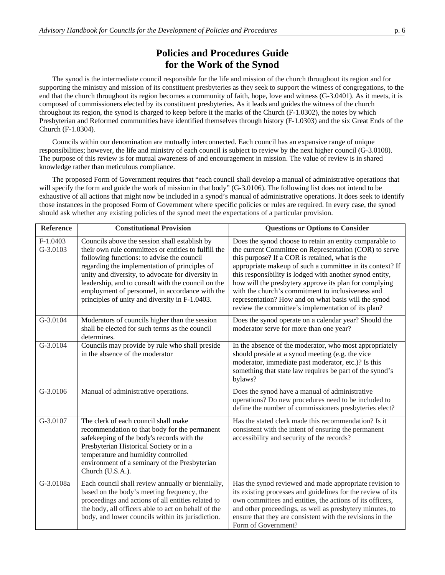## **Policies and Procedures Guide for the Work of the Synod**

 The synod is the intermediate council responsible for the life and mission of the church throughout its region and for supporting the ministry and mission of its constituent presbyteries as they seek to support the witness of congregations, to the end that the church throughout its region becomes a community of faith, hope, love and witness (G-3.0401). As it meets, it is composed of commissioners elected by its constituent presbyteries. As it leads and guides the witness of the church throughout its region, the synod is charged to keep before it the marks of the Church (F-1.0302), the notes by which Presbyterian and Reformed communities have identified themselves through history (F-1.0303) and the six Great Ends of the Church (F-1.0304).

 Councils within our denomination are mutually interconnected. Each council has an expansive range of unique responsibilities; however, the life and ministry of each council is subject to review by the next higher council (G-3.0108). The purpose of this review is for mutual awareness of and encouragement in mission. The value of review is in shared knowledge rather than meticulous compliance.

 The proposed Form of Government requires that "each council shall develop a manual of administrative operations that will specify the form and guide the work of mission in that body" (G-3.0106). The following list does not intend to be exhaustive of all actions that might now be included in a synod's manual of administrative operations. It does seek to identify those instances in the proposed Form of Government where specific policies or rules are required. In every case, the synod should ask whether any existing policies of the synod meet the expectations of a particular provision.

| <b>Reference</b>     | <b>Constitutional Provision</b>                                                                                                                                                                                                                                                                                                                                                                                      | <b>Questions or Options to Consider</b>                                                                                                                                                                                                                                                                                                                                                                                                                                                                                    |
|----------------------|----------------------------------------------------------------------------------------------------------------------------------------------------------------------------------------------------------------------------------------------------------------------------------------------------------------------------------------------------------------------------------------------------------------------|----------------------------------------------------------------------------------------------------------------------------------------------------------------------------------------------------------------------------------------------------------------------------------------------------------------------------------------------------------------------------------------------------------------------------------------------------------------------------------------------------------------------------|
| F-1.0403<br>G-3.0103 | Councils above the session shall establish by<br>their own rule committees or entities to fulfill the<br>following functions: to advise the council<br>regarding the implementation of principles of<br>unity and diversity, to advocate for diversity in<br>leadership, and to consult with the council on the<br>employment of personnel, in accordance with the<br>principles of unity and diversity in F-1.0403. | Does the synod choose to retain an entity comparable to<br>the current Committee on Representation (COR) to serve<br>this purpose? If a COR is retained, what is the<br>appropriate makeup of such a committee in its context? If<br>this responsibility is lodged with another synod entity,<br>how will the presbytery approve its plan for complying<br>with the church's commitment to inclusiveness and<br>representation? How and on what basis will the synod<br>review the committee's implementation of its plan? |
| G-3.0104             | Moderators of councils higher than the session<br>shall be elected for such terms as the council<br>determines.                                                                                                                                                                                                                                                                                                      | Does the synod operate on a calendar year? Should the<br>moderator serve for more than one year?                                                                                                                                                                                                                                                                                                                                                                                                                           |
| $G-3.0104$           | Councils may provide by rule who shall preside<br>in the absence of the moderator                                                                                                                                                                                                                                                                                                                                    | In the absence of the moderator, who most appropriately<br>should preside at a synod meeting (e.g. the vice<br>moderator, immediate past moderator, etc.)? Is this<br>something that state law requires be part of the synod's<br>bylaws?                                                                                                                                                                                                                                                                                  |
| G-3.0106             | Manual of administrative operations.                                                                                                                                                                                                                                                                                                                                                                                 | Does the synod have a manual of administrative<br>operations? Do new procedures need to be included to<br>define the number of commissioners presbyteries elect?                                                                                                                                                                                                                                                                                                                                                           |
| G-3.0107             | The clerk of each council shall make<br>recommendation to that body for the permanent<br>safekeeping of the body's records with the<br>Presbyterian Historical Society or in a<br>temperature and humidity controlled<br>environment of a seminary of the Presbyterian<br>Church (U.S.A.).                                                                                                                           | Has the stated clerk made this recommendation? Is it<br>consistent with the intent of ensuring the permanent<br>accessibility and security of the records?                                                                                                                                                                                                                                                                                                                                                                 |
| G-3.0108a            | Each council shall review annually or biennially,<br>based on the body's meeting frequency, the<br>proceedings and actions of all entities related to<br>the body, all officers able to act on behalf of the<br>body, and lower councils within its jurisdiction.                                                                                                                                                    | Has the synod reviewed and made appropriate revision to<br>its existing processes and guidelines for the review of its<br>own committees and entities, the actions of its officers,<br>and other proceedings, as well as presbytery minutes, to<br>ensure that they are consistent with the revisions in the<br>Form of Government?                                                                                                                                                                                        |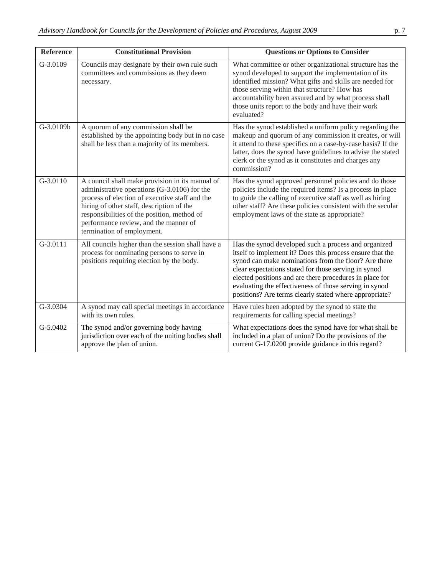| <b>Reference</b> | <b>Constitutional Provision</b>                                                                                                                                                                                                                                                                                      | <b>Questions or Options to Consider</b>                                                                                                                                                                                                                                                                                                                                                                          |
|------------------|----------------------------------------------------------------------------------------------------------------------------------------------------------------------------------------------------------------------------------------------------------------------------------------------------------------------|------------------------------------------------------------------------------------------------------------------------------------------------------------------------------------------------------------------------------------------------------------------------------------------------------------------------------------------------------------------------------------------------------------------|
| G-3.0109         | Councils may designate by their own rule such<br>committees and commissions as they deem<br>necessary.                                                                                                                                                                                                               | What committee or other organizational structure has the<br>synod developed to support the implementation of its<br>identified mission? What gifts and skills are needed for<br>those serving within that structure? How has<br>accountability been assured and by what process shall<br>those units report to the body and have their work<br>evaluated?                                                        |
| G-3.0109b        | A quorum of any commission shall be<br>established by the appointing body but in no case<br>shall be less than a majority of its members.                                                                                                                                                                            | Has the synod established a uniform policy regarding the<br>makeup and quorum of any commission it creates, or will<br>it attend to these specifics on a case-by-case basis? If the<br>latter, does the synod have guidelines to advise the stated<br>clerk or the synod as it constitutes and charges any<br>commission?                                                                                        |
| $G-3.0110$       | A council shall make provision in its manual of<br>administrative operations (G-3.0106) for the<br>process of election of executive staff and the<br>hiring of other staff, description of the<br>responsibilities of the position, method of<br>performance review, and the manner of<br>termination of employment. | Has the synod approved personnel policies and do those<br>policies include the required items? Is a process in place<br>to guide the calling of executive staff as well as hiring<br>other staff? Are these policies consistent with the secular<br>employment laws of the state as appropriate?                                                                                                                 |
| $G-3.0111$       | All councils higher than the session shall have a<br>process for nominating persons to serve in<br>positions requiring election by the body.                                                                                                                                                                         | Has the synod developed such a process and organized<br>itself to implement it? Does this process ensure that the<br>synod can make nominations from the floor? Are there<br>clear expectations stated for those serving in synod<br>elected positions and are there procedures in place for<br>evaluating the effectiveness of those serving in synod<br>positions? Are terms clearly stated where appropriate? |
| G-3.0304         | A synod may call special meetings in accordance<br>with its own rules.                                                                                                                                                                                                                                               | Have rules been adopted by the synod to state the<br>requirements for calling special meetings?                                                                                                                                                                                                                                                                                                                  |
| G-5.0402         | The synod and/or governing body having<br>jurisdiction over each of the uniting bodies shall<br>approve the plan of union.                                                                                                                                                                                           | What expectations does the synod have for what shall be<br>included in a plan of union? Do the provisions of the<br>current G-17.0200 provide guidance in this regard?                                                                                                                                                                                                                                           |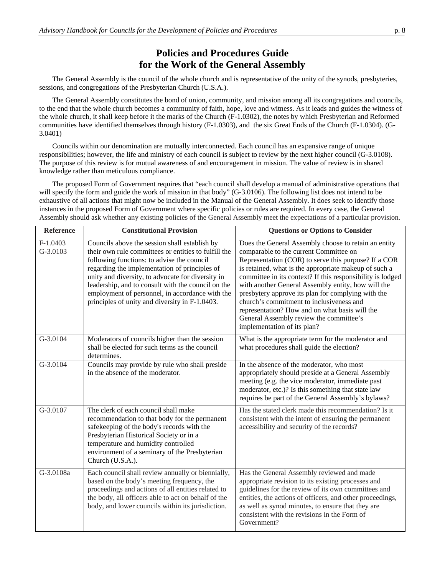### **Policies and Procedures Guide for the Work of the General Assembly**

 The General Assembly is the council of the whole church and is representative of the unity of the synods, presbyteries, sessions, and congregations of the Presbyterian Church (U.S.A.).

 The General Assembly constitutes the bond of union, community, and mission among all its congregations and councils, to the end that the whole church becomes a community of faith, hope, love and witness. As it leads and guides the witness of the whole church, it shall keep before it the marks of the Church (F-1.0302), the notes by which Presbyterian and Reformed communities have identified themselves through history (F-1.0303), and the six Great Ends of the Church (F-1.0304). (G-3.0401)

 Councils within our denomination are mutually interconnected. Each council has an expansive range of unique responsibilities; however, the life and ministry of each council is subject to review by the next higher council (G-3.0108). The purpose of this review is for mutual awareness of and encouragement in mission. The value of review is in shared knowledge rather than meticulous compliance.

 The proposed Form of Government requires that "each council shall develop a manual of administrative operations that will specify the form and guide the work of mission in that body" (G-3.0106). The following list does not intend to be exhaustive of all actions that might now be included in the Manual of the General Assembly. It does seek to identify those instances in the proposed Form of Government where specific policies or rules are required. In every case, the General Assembly should ask whether any existing policies of the General Assembly meet the expectations of a particular provision.

| <b>Reference</b>       | <b>Constitutional Provision</b>                                                                                                                                                                                                                                                                                                                                                                                      | <b>Questions or Options to Consider</b>                                                                                                                                                                                                                                                                                                                                                                                                                                                                                                                           |
|------------------------|----------------------------------------------------------------------------------------------------------------------------------------------------------------------------------------------------------------------------------------------------------------------------------------------------------------------------------------------------------------------------------------------------------------------|-------------------------------------------------------------------------------------------------------------------------------------------------------------------------------------------------------------------------------------------------------------------------------------------------------------------------------------------------------------------------------------------------------------------------------------------------------------------------------------------------------------------------------------------------------------------|
| $F-1.0403$<br>G-3.0103 | Councils above the session shall establish by<br>their own rule committees or entities to fulfill the<br>following functions: to advise the council<br>regarding the implementation of principles of<br>unity and diversity, to advocate for diversity in<br>leadership, and to consult with the council on the<br>employment of personnel, in accordance with the<br>principles of unity and diversity in F-1.0403. | Does the General Assembly choose to retain an entity<br>comparable to the current Committee on<br>Representation (COR) to serve this purpose? If a COR<br>is retained, what is the appropriate makeup of such a<br>committee in its context? If this responsibility is lodged<br>with another General Assembly entity, how will the<br>presbytery approve its plan for complying with the<br>church's commitment to inclusiveness and<br>representation? How and on what basis will the<br>General Assembly review the committee's<br>implementation of its plan? |
| G-3.0104               | Moderators of councils higher than the session<br>shall be elected for such terms as the council<br>determines.                                                                                                                                                                                                                                                                                                      | What is the appropriate term for the moderator and<br>what procedures shall guide the election?                                                                                                                                                                                                                                                                                                                                                                                                                                                                   |
| G-3.0104               | Councils may provide by rule who shall preside<br>in the absence of the moderator.                                                                                                                                                                                                                                                                                                                                   | In the absence of the moderator, who most<br>appropriately should preside at a General Assembly<br>meeting (e.g. the vice moderator, immediate past<br>moderator, etc.)? Is this something that state law<br>requires be part of the General Assembly's bylaws?                                                                                                                                                                                                                                                                                                   |
| G-3.0107               | The clerk of each council shall make<br>recommendation to that body for the permanent<br>safekeeping of the body's records with the<br>Presbyterian Historical Society or in a<br>temperature and humidity controlled<br>environment of a seminary of the Presbyterian<br>Church (U.S.A.).                                                                                                                           | Has the stated clerk made this recommendation? Is it<br>consistent with the intent of ensuring the permanent<br>accessibility and security of the records?                                                                                                                                                                                                                                                                                                                                                                                                        |
| G-3.0108a              | Each council shall review annually or biennially,<br>based on the body's meeting frequency, the<br>proceedings and actions of all entities related to<br>the body, all officers able to act on behalf of the<br>body, and lower councils within its jurisdiction.                                                                                                                                                    | Has the General Assembly reviewed and made<br>appropriate revision to its existing processes and<br>guidelines for the review of its own committees and<br>entities, the actions of officers, and other proceedings,<br>as well as synod minutes, to ensure that they are<br>consistent with the revisions in the Form of<br>Government?                                                                                                                                                                                                                          |